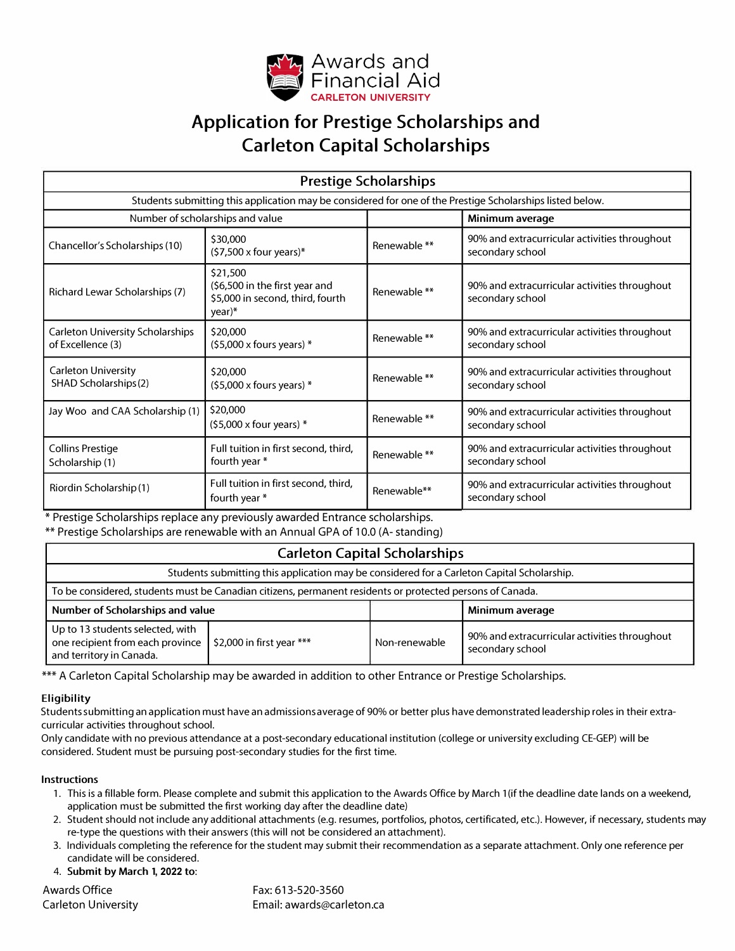

# **Application for Prestige Scholarships and Carleton Capital Scholarships**

| <b>Prestige Scholarships</b>                                                                              |                                                                                          |              |                                                                   |
|-----------------------------------------------------------------------------------------------------------|------------------------------------------------------------------------------------------|--------------|-------------------------------------------------------------------|
| Students submitting this application may be considered for one of the Prestige Scholarships listed below. |                                                                                          |              |                                                                   |
| Number of scholarships and value<br>Minimum average                                                       |                                                                                          |              |                                                                   |
| Chancellor's Scholarships (10)                                                                            | \$30,000<br>$(57,500 \times$ four years)*                                                | Renewable ** | 90% and extracurricular activities throughout<br>secondary school |
| Richard Lewar Scholarships (7)                                                                            | \$21,500<br>(\$6,500 in the first year and<br>\$5,000 in second, third, fourth<br>year)* | Renewable ** | 90% and extracurricular activities throughout<br>secondary school |
| <b>Carleton University Scholarships</b><br>of Excellence (3)                                              | \$20,000<br>$(55,000 \times$ fours years) *                                              | Renewable ** | 90% and extracurricular activities throughout<br>secondary school |
| <b>Carleton University</b><br>SHAD Scholarships(2)                                                        | \$20,000<br>$(55,000 \times$ fours years) *                                              | Renewable ** | 90% and extracurricular activities throughout<br>secondary school |
| Jay Woo and CAA Scholarship (1)                                                                           | \$20,000<br>$(55,000 \times$ four years) *                                               | Renewable ** | 90% and extracurricular activities throughout<br>secondary school |
| <b>Collins Prestige</b><br>Scholarship (1)                                                                | Full tuition in first second, third,<br>fourth year *                                    | Renewable ** | 90% and extracurricular activities throughout<br>secondary school |
| Riordin Scholarship(1)                                                                                    | Full tuition in first second, third,<br>fourth year *                                    | Renewable**  | 90% and extracurricular activities throughout<br>secondary school |

\* Prestige Scholarships replace any previously awarded Entrance scholarships.

\*\* Prestige Scholarships are renewable with an Annual GPA of 10.0 (A- standing)

| <b>Carleton Capital Scholarships</b>                                                                      |                             |               |                                                                   |
|-----------------------------------------------------------------------------------------------------------|-----------------------------|---------------|-------------------------------------------------------------------|
| Students submitting this application may be considered for a Carleton Capital Scholarship.                |                             |               |                                                                   |
| To be considered, students must be Canadian citizens, permanent residents or protected persons of Canada. |                             |               |                                                                   |
| Number of Scholarships and value                                                                          |                             |               | Minimum average                                                   |
| Up to 13 students selected, with<br>one recipient from each province<br>and territory in Canada.          | \$2,000 in first year $***$ | Non-renewable | 90% and extracurricular activities throughout<br>secondary school |

\*\*\* A Carleton Capital Scholarship may be awarded in addition to other Entrance or Prestige Scholarships.

#### **Eligibility**

Students submitting an application must have an admissions average of 90% or better plus have demonstrated leadership roles in their extracurricular activities throughout school.

Only candidate with no previous attendance at a post-secondary educational institution (college or university excluding CE-GEP) will be considered. Student must be pursuing post-secondary studies for the first time.

#### **Instructions**

- 1. This is a fillable form. Please complete and submit this application to the Awards Office by March 1 (if the deadline date lands on a weekend, application must be submitted the first working day after the deadline date)
- 2. Student should not include any additional attachments (e.g. resumes, portfolios, photos, certificated, etc.) . However, if necessary, students may re-type the questions with their answers (this will not be considered an attachment).
- 3. Individuals completing the reference for the student may submit their recommendation as a separate attachment. Only one reference per candidate will be considered.
- **4. Submit by March 1, 2022 to:**

Awards Office The Research Research Fax: 613-520-3560

Carleton University [Email: awards@carleton.ca](mailto:awards@carleton.ca)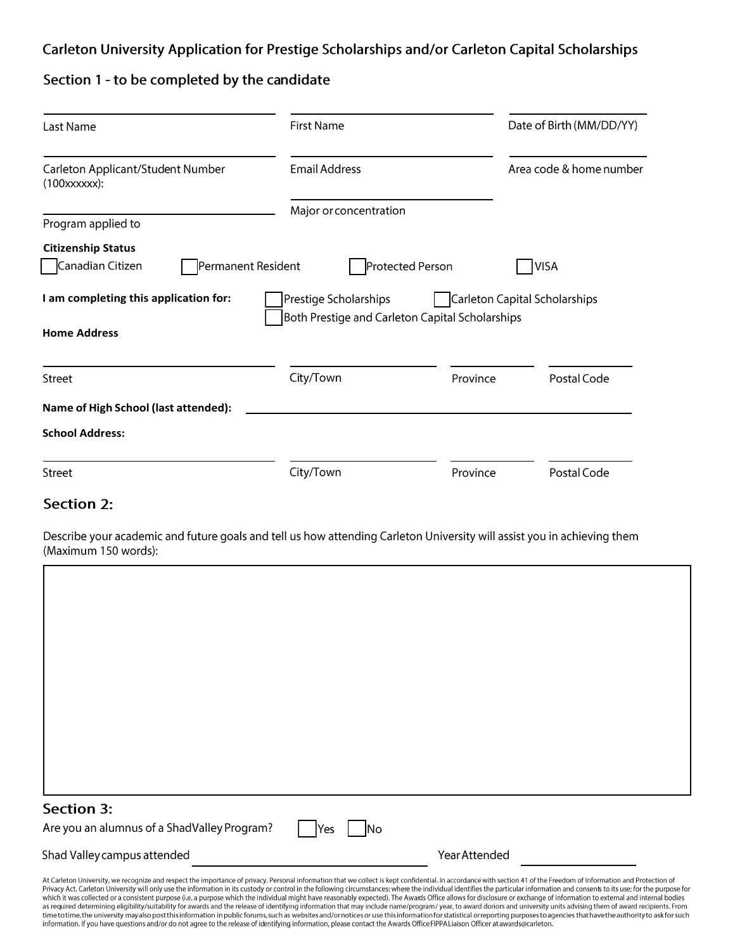## Carleton University Application for Prestige Scholarships and/or Carleton Capital Scholarships

### Section 1 - to be completed by the candidate

| Last Name                                                           | <b>First Name</b>                                                        |                  | Date of Birth (MM/DD/YY)      |  |
|---------------------------------------------------------------------|--------------------------------------------------------------------------|------------------|-------------------------------|--|
| Carleton Applicant/Student Number<br>(100xxxxx);                    | <b>Email Address</b>                                                     |                  | Area code & home number       |  |
| Program applied to                                                  | Major or concentration                                                   |                  |                               |  |
| <b>Citizenship Status</b><br>Canadian Citizen<br>Permanent Resident |                                                                          | Protected Person | <b>VISA</b>                   |  |
| I am completing this application for:<br><b>Home Address</b>        | Prestige Scholarships<br>Both Prestige and Carleton Capital Scholarships |                  | Carleton Capital Scholarships |  |
| Street                                                              | City/Town                                                                | Province         | Postal Code                   |  |
| Name of High School (last attended):                                |                                                                          |                  |                               |  |
| <b>School Address:</b>                                              |                                                                          |                  |                               |  |
| Street                                                              | City/Town                                                                | Province         | Postal Code                   |  |

## Section 2:

Describe your academic and future goals and tell us how attending Carleton University will assist you in achieving them (Maximum 150 words):

| Section 3:                                                                                                                                                                                                                                                                                                                                                                                                                                                                                                                                                                                                                                                                                                                                                                                                                                                                                                                                                                                                                                                                                                                                      |               |
|-------------------------------------------------------------------------------------------------------------------------------------------------------------------------------------------------------------------------------------------------------------------------------------------------------------------------------------------------------------------------------------------------------------------------------------------------------------------------------------------------------------------------------------------------------------------------------------------------------------------------------------------------------------------------------------------------------------------------------------------------------------------------------------------------------------------------------------------------------------------------------------------------------------------------------------------------------------------------------------------------------------------------------------------------------------------------------------------------------------------------------------------------|---------------|
| Are you an alumnus of a ShadValley Program?<br>lNo<br>Yes                                                                                                                                                                                                                                                                                                                                                                                                                                                                                                                                                                                                                                                                                                                                                                                                                                                                                                                                                                                                                                                                                       |               |
| Shad Valley campus attended                                                                                                                                                                                                                                                                                                                                                                                                                                                                                                                                                                                                                                                                                                                                                                                                                                                                                                                                                                                                                                                                                                                     | Year Attended |
| At Carleton University, we recognize and respect the importance of privacy. Personal information that we collect is kept confidential. In accordance with section 41 of the Freedom of Information and Protection of<br>Privacy Act, Carleton University will only use the information in its custody or control in the following circumstances: where the individual identifies the particular information and consents to its use; for the purpose f<br>which it was collected or a consistent purpose (i.e. a purpose which the individual might have reasonably expected). The Awards Office allows for disclosure or exchange of information to external and internal bodies<br>as required determining eligibility/suitability for awards and the release of identifying information that may include name/program / year, to award donors and university units advising them of award recipients. From<br>time to time, the university may also post this information in public forums, such as websites and/or notices or use this information for statistical or reporting purposes to agencies that have the authority to ask for suc |               |
| information. If you have questions and/or do not agree to the release of identifying information, please contact the Awards Office FIPPA Liaison Officer at awards@carleton.                                                                                                                                                                                                                                                                                                                                                                                                                                                                                                                                                                                                                                                                                                                                                                                                                                                                                                                                                                    |               |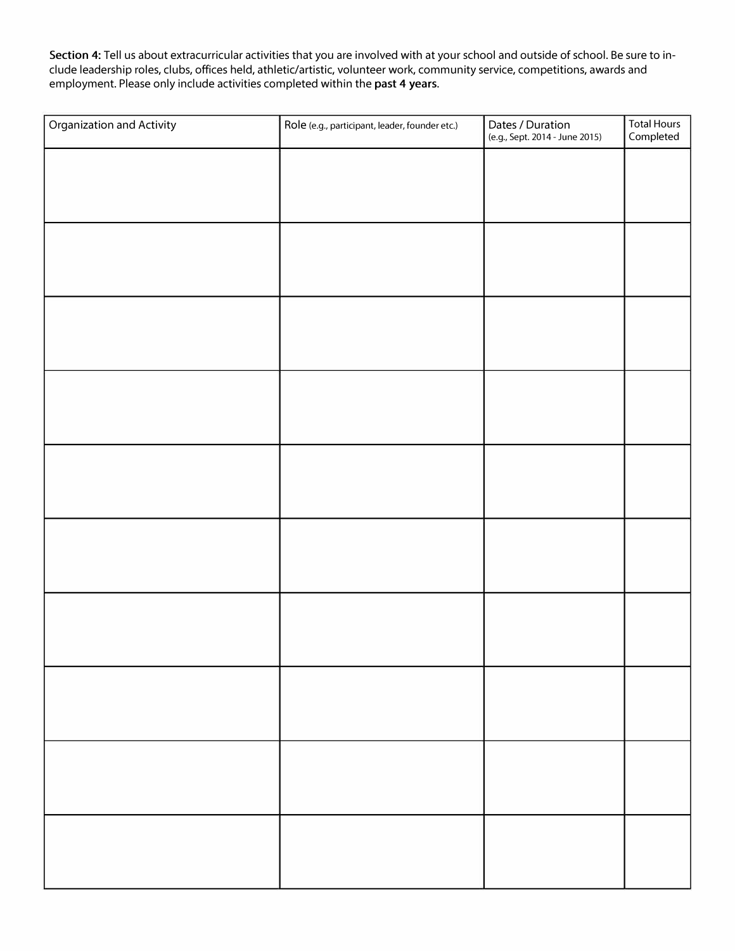**Section 4:** Tell us about extracurricular activities that you are involved with at your school and outside of school. Be sure to include leadership roles, clubs, offices held, athletic/artistic, volunteer work, community service, competitions, awards and employment. Please only include activities completed within the **past 4 years.** 

| Organization and Activity | Role (e.g., participant, leader, founder etc.) | Dates / Duration<br>(e.g., Sept. 2014 - June 2015) | <b>Total Hours</b><br>Completed |
|---------------------------|------------------------------------------------|----------------------------------------------------|---------------------------------|
|                           |                                                |                                                    |                                 |
|                           |                                                |                                                    |                                 |
|                           |                                                |                                                    |                                 |
|                           |                                                |                                                    |                                 |
|                           |                                                |                                                    |                                 |
|                           |                                                |                                                    |                                 |
|                           |                                                |                                                    |                                 |
|                           |                                                |                                                    |                                 |
|                           |                                                |                                                    |                                 |
|                           |                                                |                                                    |                                 |
|                           |                                                |                                                    |                                 |
|                           |                                                |                                                    |                                 |
|                           |                                                |                                                    |                                 |
|                           |                                                |                                                    |                                 |
|                           |                                                |                                                    |                                 |
|                           |                                                |                                                    |                                 |
|                           |                                                |                                                    |                                 |
|                           |                                                |                                                    |                                 |
|                           |                                                |                                                    |                                 |
|                           |                                                |                                                    |                                 |
|                           |                                                |                                                    |                                 |
|                           |                                                |                                                    |                                 |
|                           |                                                |                                                    |                                 |
|                           |                                                |                                                    |                                 |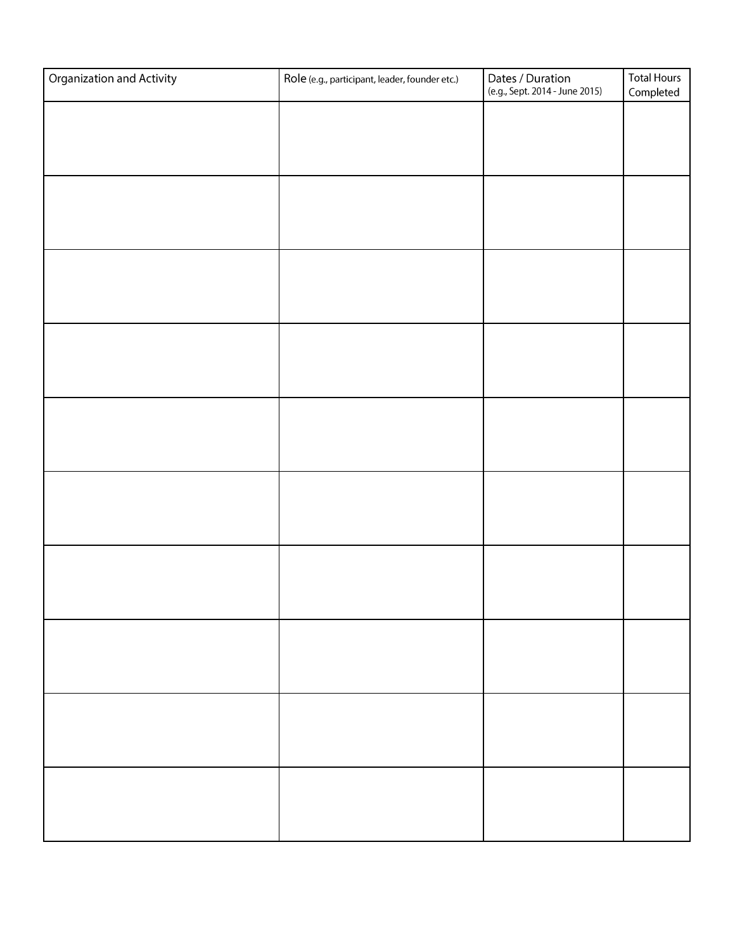| Organization and Activity | Role (e.g., participant, leader, founder etc.) | Dates / Duration<br>(e.g., Sept. 2014 - June 2015) | <b>Total Hours</b><br>Completed |
|---------------------------|------------------------------------------------|----------------------------------------------------|---------------------------------|
|                           |                                                |                                                    |                                 |
|                           |                                                |                                                    |                                 |
|                           |                                                |                                                    |                                 |
|                           |                                                |                                                    |                                 |
|                           |                                                |                                                    |                                 |
|                           |                                                |                                                    |                                 |
|                           |                                                |                                                    |                                 |
|                           |                                                |                                                    |                                 |
|                           |                                                |                                                    |                                 |
|                           |                                                |                                                    |                                 |
|                           |                                                |                                                    |                                 |
|                           |                                                |                                                    |                                 |
|                           |                                                |                                                    |                                 |
|                           |                                                |                                                    |                                 |
|                           |                                                |                                                    |                                 |
|                           |                                                |                                                    |                                 |
|                           |                                                |                                                    |                                 |
|                           |                                                |                                                    |                                 |
|                           |                                                |                                                    |                                 |
|                           |                                                |                                                    |                                 |
|                           |                                                |                                                    |                                 |
|                           |                                                |                                                    |                                 |
|                           |                                                |                                                    |                                 |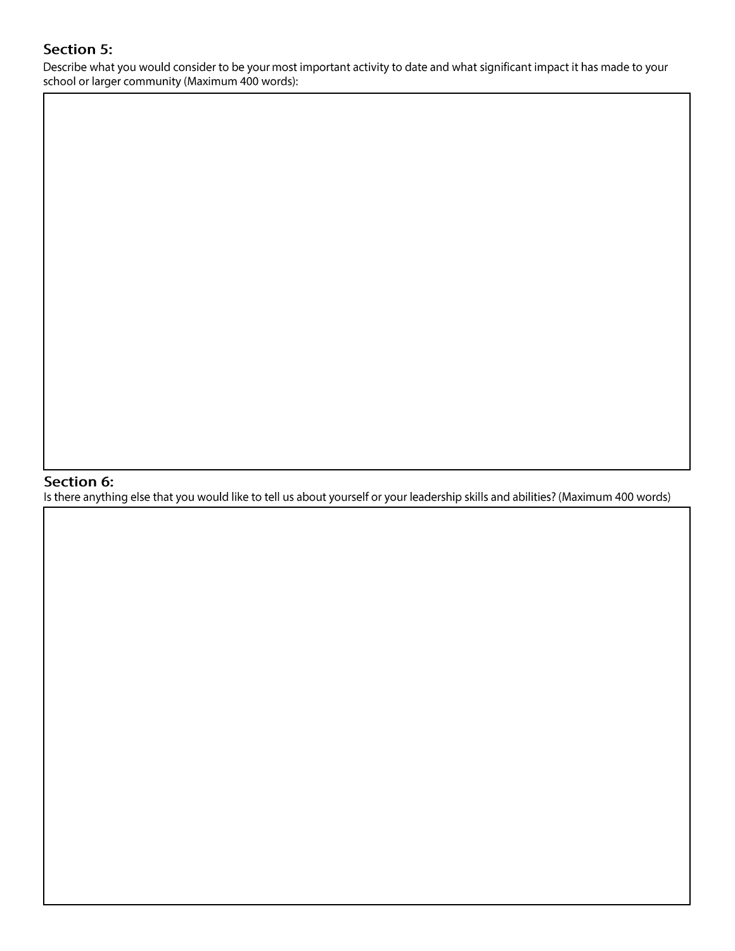## Section 5:

Describe what you would consider to be your most important activity to date and what significant impact it has made to your school or larger community (Maximum 400 words):

#### Section 6:

Is there anything else that you would like to tell us about yourself or your leadership skills and abilities? (Maximum 400 words)